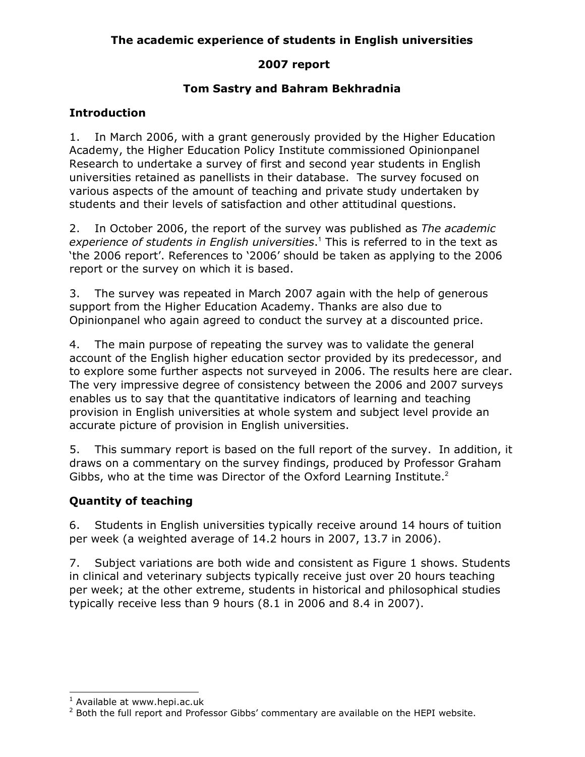# The academic experience of students in English universities

### 2007 report

# Tom Sastry and Bahram Bekhradnia

# **Introduction**

1. In March 2006, with a grant generously provided by the Higher Education Academy, the Higher Education Policy Institute commissioned Opinionpanel Research to undertake a survey of first and second year students in English universities retained as panellists in their database. The survey focused on various aspects of the amount of teaching and private study undertaken by students and their levels of satisfaction and other attitudinal questions.

2. In October 2006, the report of the survey was published as The academic experience of students in English universities.<sup>1</sup> This is referred to in the text as 'the 2006 report'. References to '2006' should be taken as applying to the 2006 report or the survey on which it is based.

3. The survey was repeated in March 2007 again with the help of generous support from the Higher Education Academy. Thanks are also due to Opinionpanel who again agreed to conduct the survey at a discounted price.

4. The main purpose of repeating the survey was to validate the general account of the English higher education sector provided by its predecessor, and to explore some further aspects not surveyed in 2006. The results here are clear. The very impressive degree of consistency between the 2006 and 2007 surveys enables us to say that the quantitative indicators of learning and teaching provision in English universities at whole system and subject level provide an accurate picture of provision in English universities.

5. This summary report is based on the full report of the survey. In addition, it draws on a commentary on the survey findings, produced by Professor Graham Gibbs, who at the time was Director of the Oxford Learning Institute. $2^2$ 

# Quantity of teaching

6. Students in English universities typically receive around 14 hours of tuition per week (a weighted average of 14.2 hours in 2007, 13.7 in 2006).

7. Subject variations are both wide and consistent as Figure 1 shows. Students in clinical and veterinary subjects typically receive just over 20 hours teaching per week; at the other extreme, students in historical and philosophical studies typically receive less than 9 hours (8.1 in 2006 and 8.4 in 2007).

 1 Available at www.hepi.ac.uk

<sup>&</sup>lt;sup>2</sup> Both the full report and Professor Gibbs' commentary are available on the HEPI website.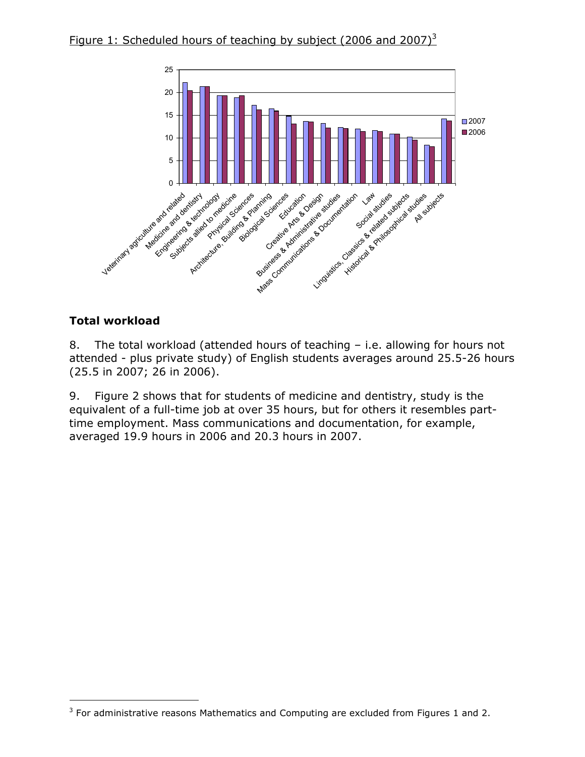



# Total workload

-

8. The total workload (attended hours of teaching – i.e. allowing for hours not attended - plus private study) of English students averages around 25.5-26 hours (25.5 in 2007; 26 in 2006).

9. Figure 2 shows that for students of medicine and dentistry, study is the equivalent of a full-time job at over 35 hours, but for others it resembles parttime employment. Mass communications and documentation, for example, averaged 19.9 hours in 2006 and 20.3 hours in 2007.

 $3$  For administrative reasons Mathematics and Computing are excluded from Figures 1 and 2.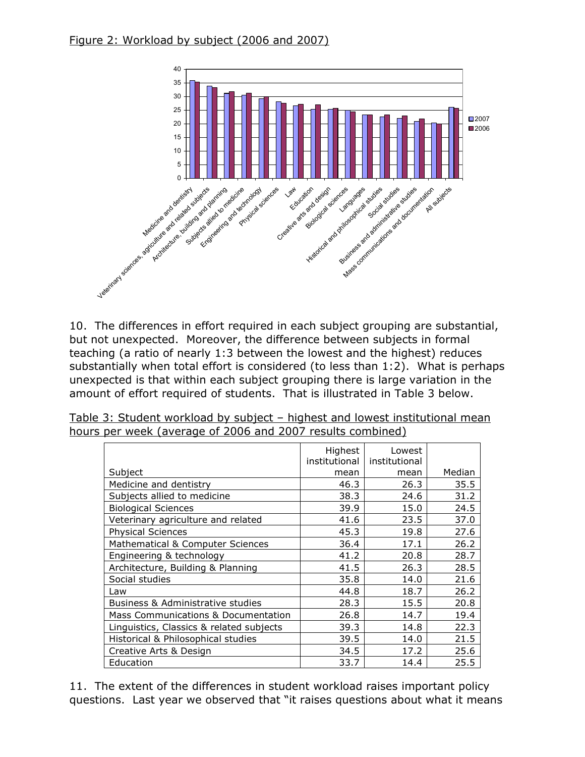

10. The differences in effort required in each subject grouping are substantial, but not unexpected. Moreover, the difference between subjects in formal teaching (a ratio of nearly 1:3 between the lowest and the highest) reduces substantially when total effort is considered (to less than 1:2). What is perhaps unexpected is that within each subject grouping there is large variation in the amount of effort required of students. That is illustrated in Table 3 below.

|                                          | Highest       | Lowest        |        |
|------------------------------------------|---------------|---------------|--------|
|                                          | institutional | institutional |        |
| Subject                                  | mean          | mean          | Median |
| Medicine and dentistry                   | 46.3          | 26.3          | 35.5   |
| Subjects allied to medicine              | 38.3          | 24.6          | 31.2   |
| <b>Biological Sciences</b>               | 39.9          | 15.0          | 24.5   |
| Veterinary agriculture and related       | 41.6          | 23.5          | 37.0   |
| <b>Physical Sciences</b>                 | 45.3          | 19.8          | 27.6   |
| Mathematical & Computer Sciences         | 36.4          | 17.1          | 26.2   |
| Engineering & technology                 | 41.2          | 20.8          | 28.7   |
| Architecture, Building & Planning        | 41.5          | 26.3          | 28.5   |
| Social studies                           | 35.8          | 14.0          | 21.6   |
| Law                                      | 44.8          | 18.7          | 26.2   |
| Business & Administrative studies        | 28.3          | 15.5          | 20.8   |
| Mass Communications & Documentation      | 26.8          | 14.7          | 19.4   |
| Linguistics, Classics & related subjects | 39.3          | 14.8          | 22.3   |
| Historical & Philosophical studies       | 39.5          | 14.0          | 21.5   |
| Creative Arts & Design                   | 34.5          | 17.2          | 25.6   |
| Education                                | 33.7          | 14.4          | 25.5   |

Table 3: Student workload by subject – highest and lowest institutional mean hours per week (average of 2006 and 2007 results combined)

11. The extent of the differences in student workload raises important policy questions. Last year we observed that "it raises questions about what it means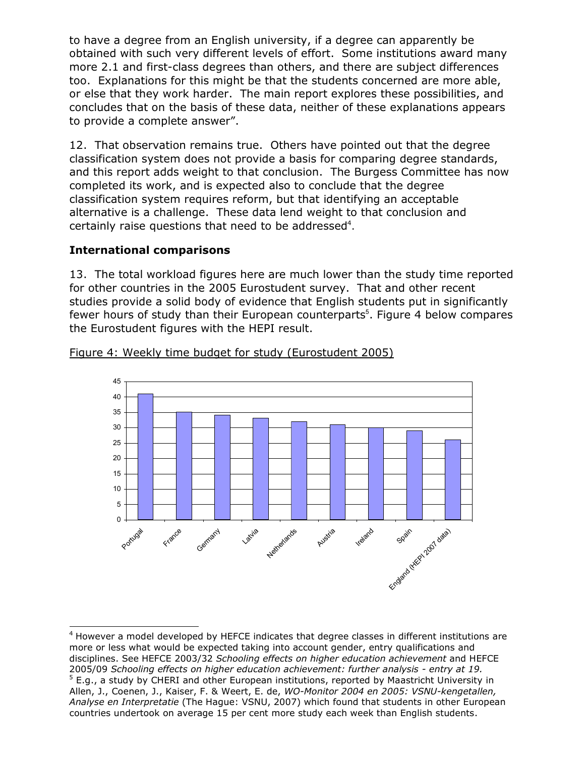to have a degree from an English university, if a degree can apparently be obtained with such very different levels of effort. Some institutions award many more 2.1 and first-class degrees than others, and there are subject differences too. Explanations for this might be that the students concerned are more able, or else that they work harder. The main report explores these possibilities, and concludes that on the basis of these data, neither of these explanations appears to provide a complete answer".

12. That observation remains true. Others have pointed out that the degree classification system does not provide a basis for comparing degree standards, and this report adds weight to that conclusion. The Burgess Committee has now completed its work, and is expected also to conclude that the degree classification system requires reform, but that identifying an acceptable alternative is a challenge. These data lend weight to that conclusion and certainly raise questions that need to be addressed<sup>4</sup>.

### International comparisons

13. The total workload figures here are much lower than the study time reported for other countries in the 2005 Eurostudent survey. That and other recent studies provide a solid body of evidence that English students put in significantly fewer hours of study than their European counterparts<sup>5</sup>. Figure 4 below compares the Eurostudent figures with the HEPI result.



#### Figure 4: Weekly time budget for study (Eurostudent 2005)

<sup>-</sup><sup>4</sup> However a model developed by HEFCE indicates that degree classes in different institutions are more or less what would be expected taking into account gender, entry qualifications and disciplines. See HEFCE 2003/32 Schooling effects on higher education achievement and HEFCE 2005/09 Schooling effects on higher education achievement: further analysis - entry at 19. <sup>5</sup> E.g., a study by CHERI and other European institutions, reported by Maastricht University in Allen, J., Coenen, J., Kaiser, F. & Weert, E. de, WO-Monitor 2004 en 2005: VSNU-kengetallen, Analyse en Interpretatie (The Hague: VSNU, 2007) which found that students in other European countries undertook on average 15 per cent more study each week than English students.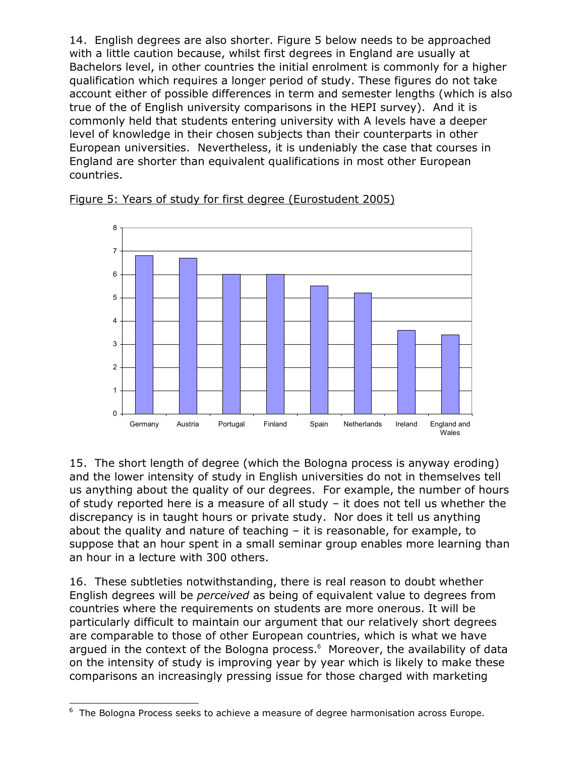14. English degrees are also shorter. Figure 5 below needs to be approached with a little caution because, whilst first degrees in England are usually at Bachelors level, in other countries the initial enrolment is commonly for a higher qualification which requires a longer period of study. These figures do not take account either of possible differences in term and semester lengths (which is also true of the of English university comparisons in the HEPI survey). And it is commonly held that students entering university with A levels have a deeper level of knowledge in their chosen subjects than their counterparts in other European universities. Nevertheless, it is undeniably the case that courses in England are shorter than equivalent qualifications in most other European countries.





15. The short length of degree (which the Bologna process is anyway eroding) and the lower intensity of study in English universities do not in themselves tell us anything about the quality of our degrees. For example, the number of hours of study reported here is a measure of all study – it does not tell us whether the discrepancy is in taught hours or private study. Nor does it tell us anything about the quality and nature of teaching – it is reasonable, for example, to suppose that an hour spent in a small seminar group enables more learning than an hour in a lecture with 300 others.

16. These subtleties notwithstanding, there is real reason to doubt whether English degrees will be perceived as being of equivalent value to degrees from countries where the requirements on students are more onerous. It will be particularly difficult to maintain our argument that our relatively short degrees are comparable to those of other European countries, which is what we have argued in the context of the Bologna process.<sup>6</sup> Moreover, the availability of data on the intensity of study is improving year by year which is likely to make these comparisons an increasingly pressing issue for those charged with marketing

<sup>-</sup><sup>6</sup> The Bologna Process seeks to achieve a measure of degree harmonisation across Europe.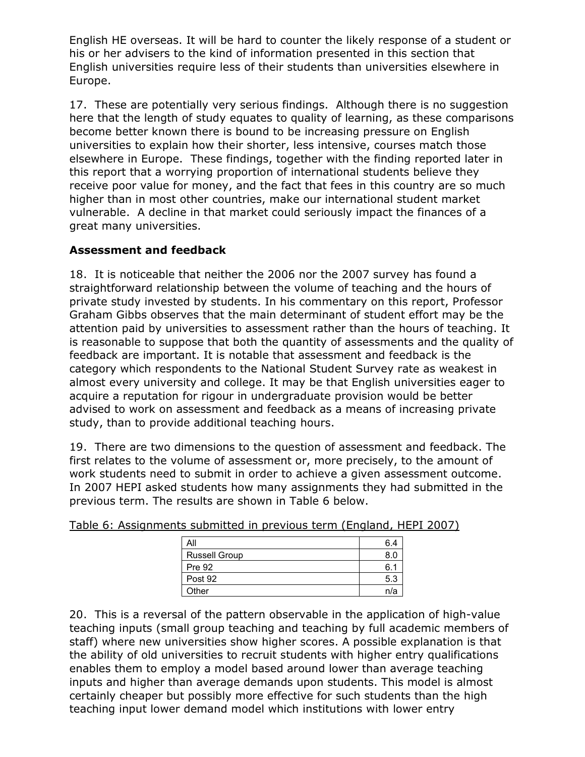English HE overseas. It will be hard to counter the likely response of a student or his or her advisers to the kind of information presented in this section that English universities require less of their students than universities elsewhere in Europe.

17. These are potentially very serious findings. Although there is no suggestion here that the length of study equates to quality of learning, as these comparisons become better known there is bound to be increasing pressure on English universities to explain how their shorter, less intensive, courses match those elsewhere in Europe. These findings, together with the finding reported later in this report that a worrying proportion of international students believe they receive poor value for money, and the fact that fees in this country are so much higher than in most other countries, make our international student market vulnerable. A decline in that market could seriously impact the finances of a great many universities.

### Assessment and feedback

18. It is noticeable that neither the 2006 nor the 2007 survey has found a straightforward relationship between the volume of teaching and the hours of private study invested by students. In his commentary on this report, Professor Graham Gibbs observes that the main determinant of student effort may be the attention paid by universities to assessment rather than the hours of teaching. It is reasonable to suppose that both the quantity of assessments and the quality of feedback are important. It is notable that assessment and feedback is the category which respondents to the National Student Survey rate as weakest in almost every university and college. It may be that English universities eager to acquire a reputation for rigour in undergraduate provision would be better advised to work on assessment and feedback as a means of increasing private study, than to provide additional teaching hours.

19. There are two dimensions to the question of assessment and feedback. The first relates to the volume of assessment or, more precisely, to the amount of work students need to submit in order to achieve a given assessment outcome. In 2007 HEPI asked students how many assignments they had submitted in the previous term. The results are shown in Table 6 below.

| All                  | 6 4 |
|----------------------|-----|
| <b>Russell Group</b> | 8.0 |
| <b>Pre 92</b>        | 6.  |
| Post 92              | 5.3 |
| Other                | n/a |

Table 6: Assignments submitted in previous term (England, HEPI 2007)

20. This is a reversal of the pattern observable in the application of high-value teaching inputs (small group teaching and teaching by full academic members of staff) where new universities show higher scores. A possible explanation is that the ability of old universities to recruit students with higher entry qualifications enables them to employ a model based around lower than average teaching inputs and higher than average demands upon students. This model is almost certainly cheaper but possibly more effective for such students than the high teaching input lower demand model which institutions with lower entry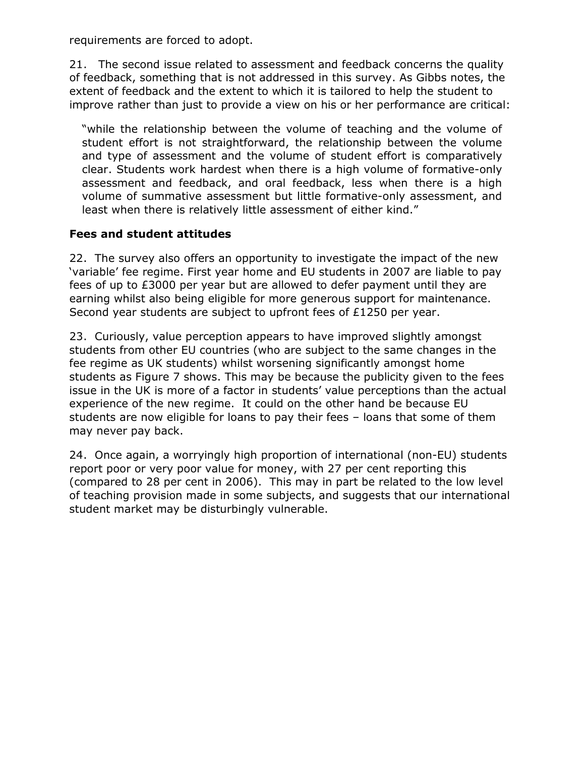requirements are forced to adopt.

21. The second issue related to assessment and feedback concerns the quality of feedback, something that is not addressed in this survey. As Gibbs notes, the extent of feedback and the extent to which it is tailored to help the student to improve rather than just to provide a view on his or her performance are critical:

"while the relationship between the volume of teaching and the volume of student effort is not straightforward, the relationship between the volume and type of assessment and the volume of student effort is comparatively clear. Students work hardest when there is a high volume of formative-only assessment and feedback, and oral feedback, less when there is a high volume of summative assessment but little formative-only assessment, and least when there is relatively little assessment of either kind."

### Fees and student attitudes

22. The survey also offers an opportunity to investigate the impact of the new 'variable' fee regime. First year home and EU students in 2007 are liable to pay fees of up to £3000 per year but are allowed to defer payment until they are earning whilst also being eligible for more generous support for maintenance. Second year students are subject to upfront fees of £1250 per year.

23. Curiously, value perception appears to have improved slightly amongst students from other EU countries (who are subject to the same changes in the fee regime as UK students) whilst worsening significantly amongst home students as Figure 7 shows. This may be because the publicity given to the fees issue in the UK is more of a factor in students' value perceptions than the actual experience of the new regime. It could on the other hand be because EU students are now eligible for loans to pay their fees – loans that some of them may never pay back.

24. Once again, a worryingly high proportion of international (non-EU) students report poor or very poor value for money, with 27 per cent reporting this (compared to 28 per cent in 2006). This may in part be related to the low level of teaching provision made in some subjects, and suggests that our international student market may be disturbingly vulnerable.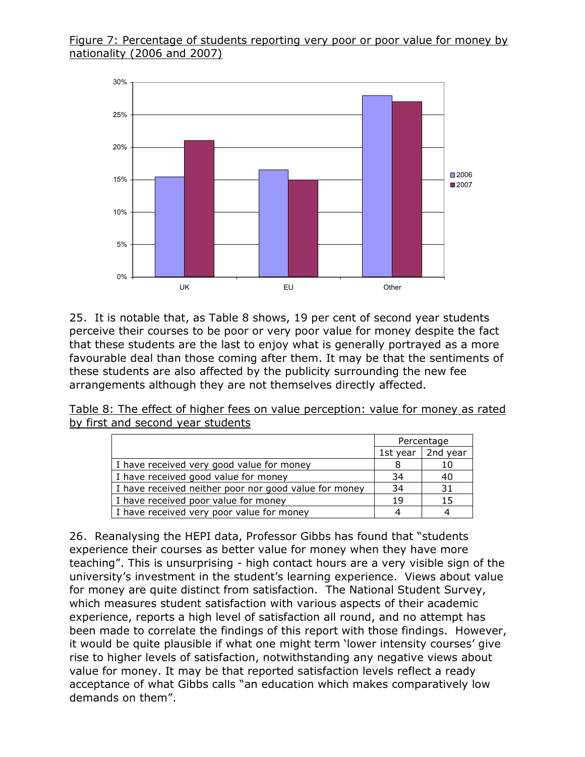#### Figure 7: Percentage of students reporting very poor or poor value for money by nationality (2006 and 2007)



25. It is notable that, as Table 8 shows, 19 per cent of second year students perceive their courses to be poor or very poor value for money despite the fact that these students are the last to enjoy what is generally portrayed as a more favourable deal than those coming after them. It may be that the sentiments of these students are also affected by the publicity surrounding the new fee arrangements although they are not themselves directly affected.

Table 8: The effect of higher fees on value perception: value for money as rated by first and second year students

|                                                       | Percentage |                     |
|-------------------------------------------------------|------------|---------------------|
|                                                       |            | 1st year   2nd year |
| I have received very good value for money             |            | 10                  |
| I have received good value for money                  |            | 40                  |
| I have received neither poor nor good value for money | 34         | 31                  |
| I have received poor value for money                  | 19         | 15                  |
| I have received very poor value for money             |            |                     |

26. Reanalysing the HEPI data, Professor Gibbs has found that "students experience their courses as better value for money when they have more teaching". This is unsurprising - high contact hours are a very visible sign of the university's investment in the student's learning experience. Views about value for money are quite distinct from satisfaction. The National Student Survey, which measures student satisfaction with various aspects of their academic experience, reports a high level of satisfaction all round, and no attempt has been made to correlate the findings of this report with those findings. However, it would be quite plausible if what one might term 'lower intensity courses' give rise to higher levels of satisfaction, notwithstanding any negative views about value for money. It may be that reported satisfaction levels reflect a ready acceptance of what Gibbs calls "an education which makes comparatively low demands on them".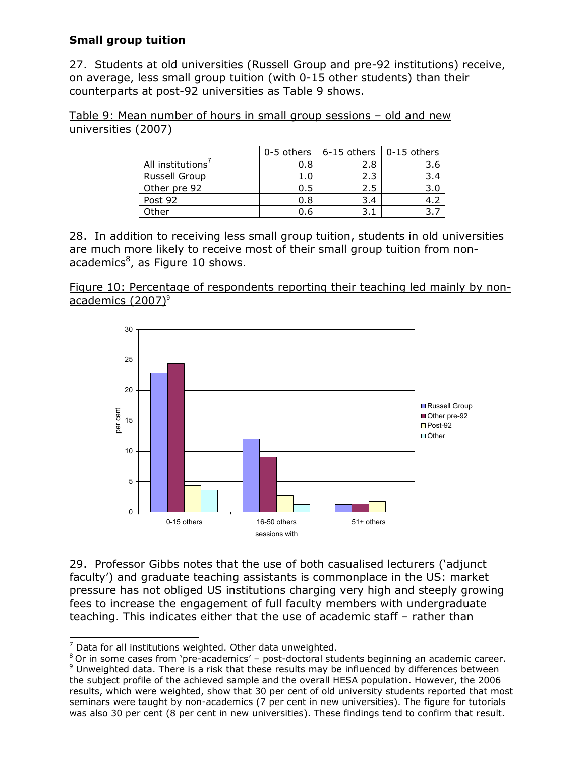# Small group tuition

27. Students at old universities (Russell Group and pre-92 institutions) receive, on average, less small group tuition (with 0-15 other students) than their counterparts at post-92 universities as Table 9 shows.

Table 9: Mean number of hours in small group sessions – old and new universities (2007)

|                      | 0-5 others | 6-15 others | 0-15 others |
|----------------------|------------|-------------|-------------|
| All institutions'    | 0.8        | 2.8         | 3.6         |
| <b>Russell Group</b> |            | 2.3         | 3.4         |
| Other pre 92         | 0.5        | 2.5         | 3.0         |
| Post 92              | 0.8        | 3.4         |             |
| Other                | 0.6        |             |             |

28. In addition to receiving less small group tuition, students in old universities are much more likely to receive most of their small group tuition from nonacademics<sup>8</sup>, as Figure 10 shows.





29. Professor Gibbs notes that the use of both casualised lecturers ('adjunct faculty') and graduate teaching assistants is commonplace in the US: market pressure has not obliged US institutions charging very high and steeply growing fees to increase the engagement of full faculty members with undergraduate teaching. This indicates either that the use of academic staff – rather than

 7 Data for all institutions weighted. Other data unweighted.

<sup>&</sup>lt;sup>8</sup> Or in some cases from 'pre-academics' - post-doctoral students beginning an academic career.  $9$  Unweighted data. There is a risk that these results may be influenced by differences between the subject profile of the achieved sample and the overall HESA population. However, the 2006 results, which were weighted, show that 30 per cent of old university students reported that most seminars were taught by non-academics (7 per cent in new universities). The figure for tutorials was also 30 per cent (8 per cent in new universities). These findings tend to confirm that result.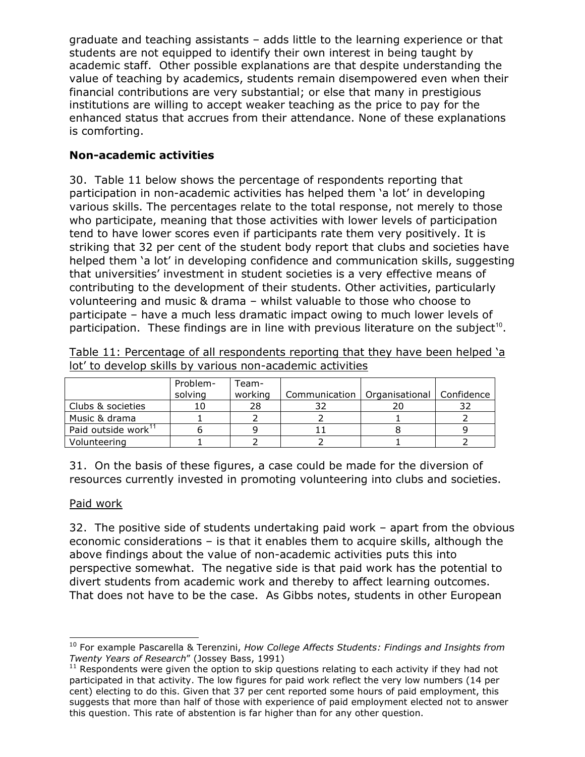graduate and teaching assistants – adds little to the learning experience or that students are not equipped to identify their own interest in being taught by academic staff. Other possible explanations are that despite understanding the value of teaching by academics, students remain disempowered even when their financial contributions are very substantial; or else that many in prestigious institutions are willing to accept weaker teaching as the price to pay for the enhanced status that accrues from their attendance. None of these explanations is comforting.

# Non-academic activities

30. Table 11 below shows the percentage of respondents reporting that participation in non-academic activities has helped them 'a lot' in developing various skills. The percentages relate to the total response, not merely to those who participate, meaning that those activities with lower levels of participation tend to have lower scores even if participants rate them very positively. It is striking that 32 per cent of the student body report that clubs and societies have helped them 'a lot' in developing confidence and communication skills, suggesting that universities' investment in student societies is a very effective means of contributing to the development of their students. Other activities, particularly volunteering and music & drama – whilst valuable to those who choose to participate – have a much less dramatic impact owing to much lower levels of participation. These findings are in line with previous literature on the subject<sup>10</sup>.

|                                 | Problem-<br>solving | Team-<br>working | Communication   Organisational | Confidence |
|---------------------------------|---------------------|------------------|--------------------------------|------------|
| Clubs & societies               |                     | 28               |                                |            |
| Music & drama                   |                     |                  |                                |            |
| Paid outside work <sup>11</sup> |                     |                  |                                |            |
| Volunteering                    |                     |                  |                                |            |

Table 11: Percentage of all respondents reporting that they have been helped 'a lot' to develop skills by various non-academic activities

31. On the basis of these figures, a case could be made for the diversion of resources currently invested in promoting volunteering into clubs and societies.

### Paid work

32. The positive side of students undertaking paid work – apart from the obvious economic considerations – is that it enables them to acquire skills, although the above findings about the value of non-academic activities puts this into perspective somewhat. The negative side is that paid work has the potential to divert students from academic work and thereby to affect learning outcomes. That does not have to be the case. As Gibbs notes, students in other European

<sup>-</sup> $10$  For example Pascarella & Terenzini, How College Affects Students: Findings and Insights from Twenty Years of Research" (Jossey Bass, 1991)

 $11$  Respondents were given the option to skip questions relating to each activity if they had not participated in that activity. The low figures for paid work reflect the very low numbers (14 per cent) electing to do this. Given that 37 per cent reported some hours of paid employment, this suggests that more than half of those with experience of paid employment elected not to answer this question. This rate of abstention is far higher than for any other question.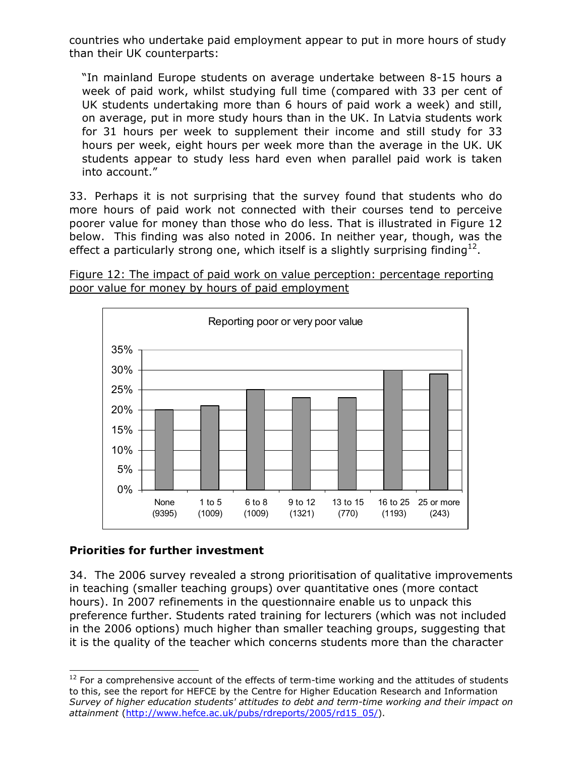countries who undertake paid employment appear to put in more hours of study than their UK counterparts:

"In mainland Europe students on average undertake between 8-15 hours a week of paid work, whilst studying full time (compared with 33 per cent of UK students undertaking more than 6 hours of paid work a week) and still, on average, put in more study hours than in the UK. In Latvia students work for 31 hours per week to supplement their income and still study for 33 hours per week, eight hours per week more than the average in the UK. UK students appear to study less hard even when parallel paid work is taken into account."

33. Perhaps it is not surprising that the survey found that students who do more hours of paid work not connected with their courses tend to perceive poorer value for money than those who do less. That is illustrated in Figure 12 below. This finding was also noted in 2006. In neither year, though, was the effect a particularly strong one, which itself is a slightly surprising finding $^{12}$ .





### Priorities for further investment

34. The 2006 survey revealed a strong prioritisation of qualitative improvements in teaching (smaller teaching groups) over quantitative ones (more contact hours). In 2007 refinements in the questionnaire enable us to unpack this preference further. Students rated training for lecturers (which was not included in the 2006 options) much higher than smaller teaching groups, suggesting that it is the quality of the teacher which concerns students more than the character

<sup>-</sup> $12$  For a comprehensive account of the effects of term-time working and the attitudes of students to this, see the report for HEFCE by the Centre for Higher Education Research and Information Survey of higher education students' attitudes to debt and term-time working and their impact on attainment (http://www.hefce.ac.uk/pubs/rdreports/2005/rd15\_05/).